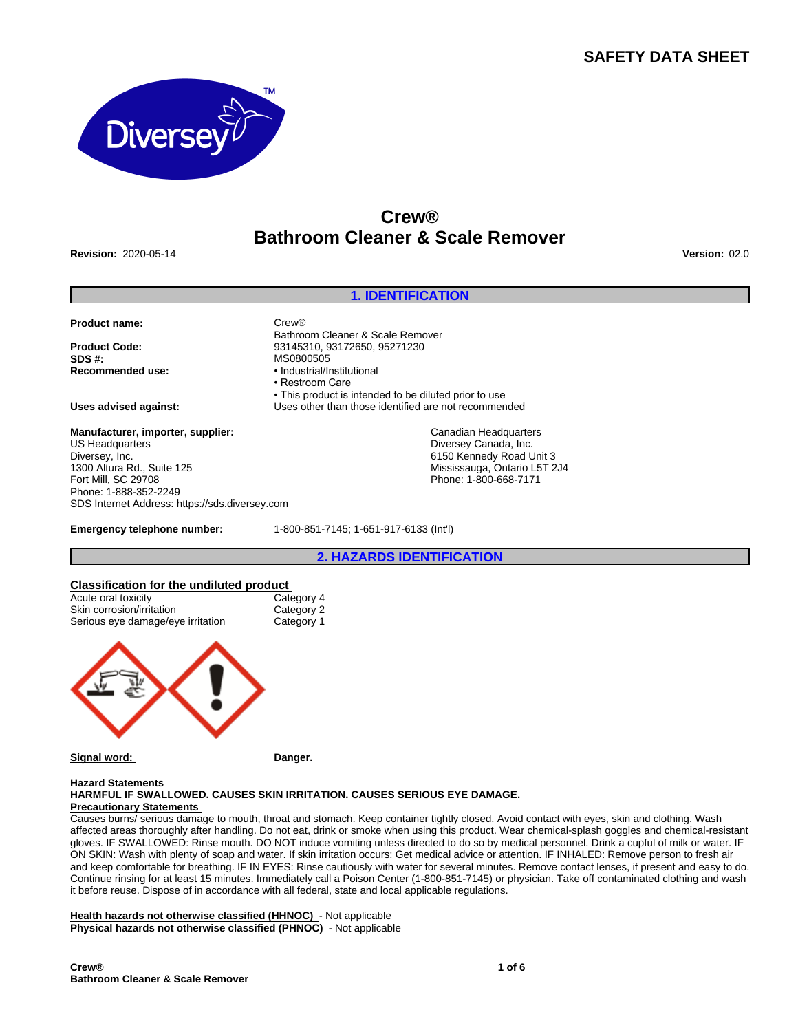# **SAFETY DATA SHEET**



# **Crew® Bathroom Cleaner & Scale Remover**

**Revision:** 2020-05-14 **Version:** 02.0

# **1. IDENTIFICATION**

• This product is intended to be diluted prior to use

#### **Product name:** Crew®

**Product Code:** 93145310, 93172650, 95271230<br>**SDS #:** MS0800505 **SDS #:** MS0800505

**Uses advised against:** Uses other than those identified are not recommended

**Manufacturer, importer, supplier:** US Headquarters Diversey, Inc. 1300 Altura Rd., Suite 125 Fort Mill, SC 29708 Phone: 1-888-352-2249 SDS Internet Address: https://sds.diversey.com

**Emergency telephone number:** 1-800-851-7145; 1-651-917-6133 (Int'l)

Bathroom Cleaner & Scale Remover

**Recommended use:** •Industrial/Institutional • Restroom Care

#### **2. HAZARDS IDENTIFICATION**

Canadian Headquarters Diversey Canada, Inc. 6150 Kennedy Road Unit 3 Mississauga, Ontario L5T 2J4 Phone: 1-800-668-7171

#### **Classification for the undiluted product**

| Acute oral toxicity               | Category 4 |
|-----------------------------------|------------|
| Skin corrosion/irritation         | Category 2 |
| Serious eye damage/eye irritation | Category 1 |
|                                   |            |

**Signal word: Danger.**

# **Hazard Statements**

### **HARMFUL IF SWALLOWED. CAUSES SKIN IRRITATION. CAUSES SERIOUS EYE DAMAGE. Precautionary Statements**

Causes burns/ serious damage to mouth, throat and stomach. Keep container tightly closed. Avoid contact with eyes, skin and clothing. Wash affected areas thoroughly after handling. Do not eat, drink or smoke when using this product. Wear chemical-splash goggles and chemical-resistant gloves. IF SWALLOWED: Rinse mouth. DO NOT induce vomiting unless directed to do so by medical personnel. Drink a cupful of milk or water. IF ON SKIN: Wash with plenty of soap and water. If skin irritation occurs: Get medical advice or attention. IF INHALED: Remove person to fresh air and keep comfortable for breathing. IF IN EYES: Rinse cautiously with water for several minutes. Remove contact lenses, if present and easy to do. Continue rinsing for at least 15 minutes. Immediately call a Poison Center (1-800-851-7145) or physician. Take off contaminated clothing and wash it before reuse. Dispose of in accordance with all federal, state and local applicable regulations.

**Health hazards not otherwise classified (HHNOC)** - Not applicable **Physical hazards not otherwise classified (PHNOC)** - Not applicable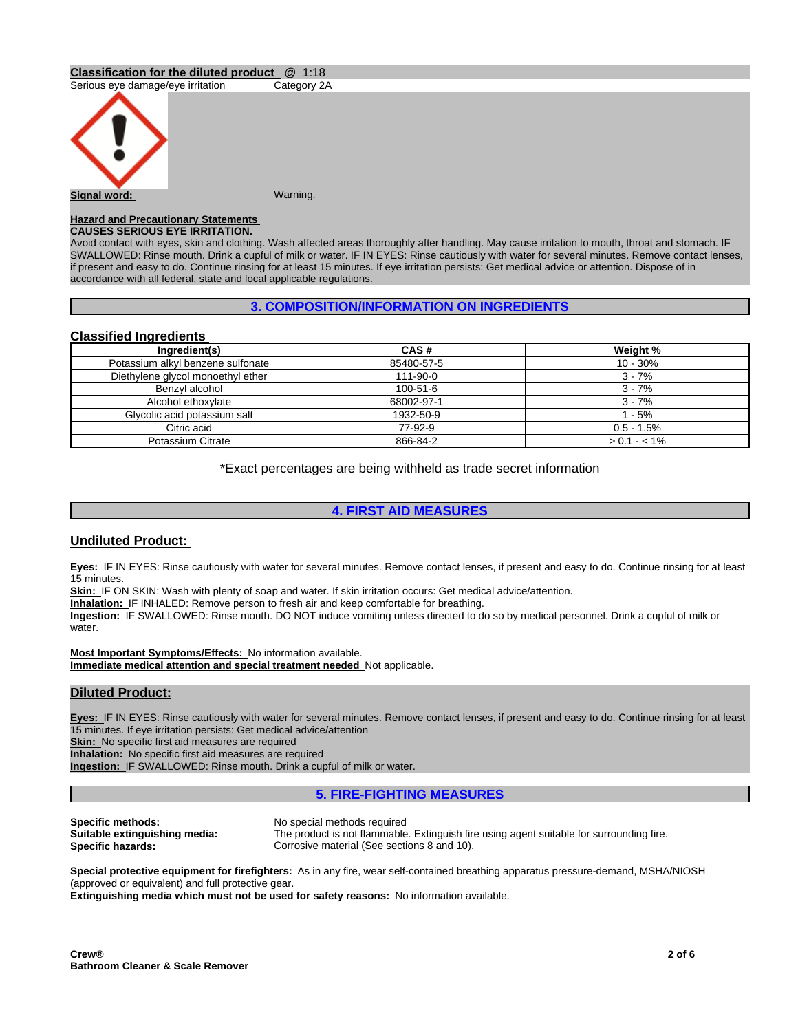# **Classification for the diluted product** @ 1:18

Serious eye damage/eye irritation Category 2A



**Signal word: Warning. Warning.** 

#### **Hazard and Precautionary Statements CAUSES SERIOUS EYE IRRITATION.**

Avoid contact with eyes, skin and clothing. Wash affected areas thoroughly after handling. May cause irritation to mouth, throat and stomach. IF SWALLOWED: Rinse mouth. Drink a cupful of milk or water. IF IN EYES: Rinse cautiously with water for several minutes. Remove contact lenses, if present and easy to do. Continue rinsing for at least 15 minutes. If eye irritation persists: Get medical advice or attention. Dispose of in accordance with all federal, state and local applicable regulations.

# **3. COMPOSITION/INFORMATION ON INGREDIENTS**

# **Classified Ingredients**

| Ingredient(s)                     | CAS#       | Weight %        |
|-----------------------------------|------------|-----------------|
| Potassium alkyl benzene sulfonate | 85480-57-5 | $10 - 30%$      |
| Diethylene glycol monoethyl ether | 111-90-0   | $3 - 7%$        |
| Benzvl alcohol                    | 100-51-6   | $3 - 7%$        |
| Alcohol ethoxylate                | 68002-97-1 | $3 - 7%$        |
| Glycolic acid potassium salt      | 1932-50-9  | $1 - 5%$        |
| Citric acid                       | 77-92-9    | $0.5 - 1.5%$    |
| Potassium Citrate                 | 866-84-2   | $> 0.1 - < 1\%$ |

\*Exact percentages are being withheld as trade secret information

# **4. FIRST AID MEASURES**

# **Undiluted Product:**

**Eyes:** IF IN EYES: Rinse cautiously with water for several minutes. Remove contact lenses, if present and easy to do. Continue rinsing for at least 15 minutes.

**Skin:** IF ON SKIN: Wash with plenty of soap and water. If skin irritation occurs: Get medical advice/attention.

**Inhalation:** IF INHALED: Remove person to fresh air and keep comfortable for breathing.

**Ingestion:** IF SWALLOWED: Rinse mouth. DO NOT induce vomiting unless directed to do so by medical personnel. Drink a cupful of milk or water.

**Most Important Symptoms/Effects:** No information available. **Immediate medical attention and special treatment needed** Not applicable.

# **Diluted Product:**

Eyes: IF IN EYES: Rinse cautiously with water for several minutes. Remove contact lenses, if present and easy to do. Continue rinsing for at least 15 minutes. If eye irritation persists: Get medical advice/attention

**Skin:** No specific first aid measures are required

**Inhalation:** No specific first aid measures are required

**Ingestion:** IF SWALLOWED: Rinse mouth. Drink a cupful of milk or water.

# **5. FIRE-FIGHTING MEASURES**

**Specific methods:** No special methods required<br> **Suitable extinguishing media:** The product is not flammable

The product is not flammable. Extinguish fire using agent suitable for surrounding fire. **Specific hazards:** Corrosive material (See sections 8 and 10).

**Special protective equipment for firefighters:** As in any fire, wear self-contained breathing apparatus pressure-demand, MSHA/NIOSH (approved or equivalent) and full protective gear.

**Extinguishing media which must not be used for safety reasons:** No information available.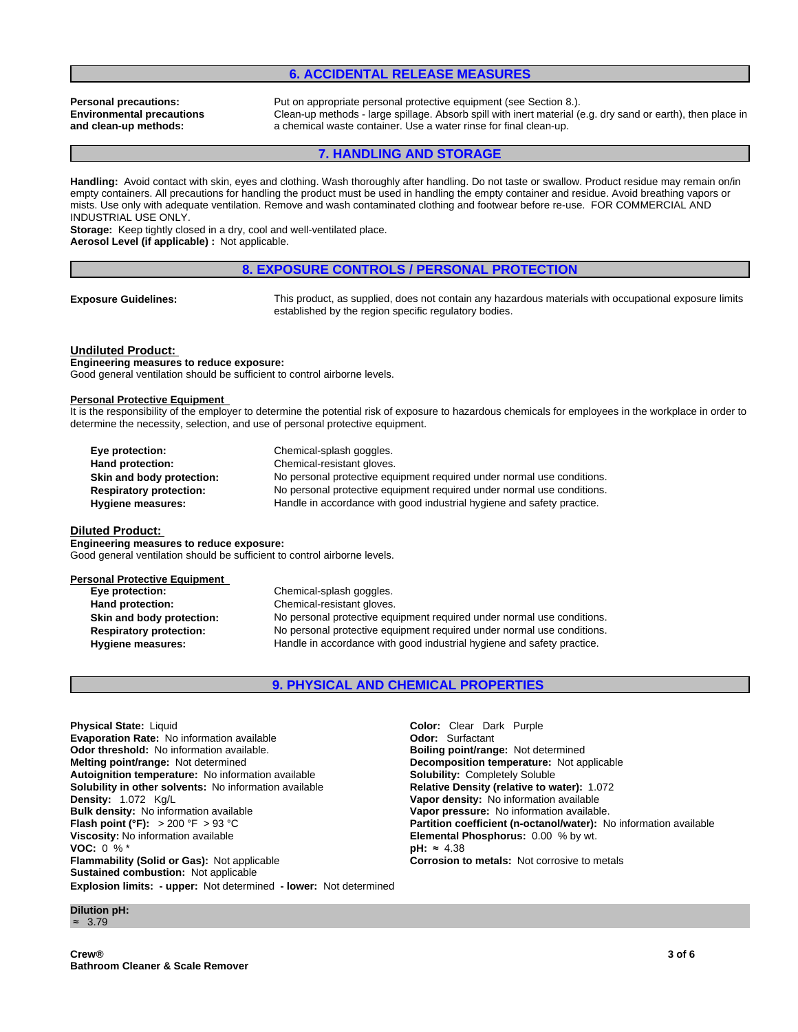# **6. ACCIDENTAL RELEASE MEASURES**

# **Environmental precautions and clean-up methods:**

**Personal precautions:** Put on appropriate personal protective equipment (see Section 8.). Clean-up methods - large spillage. Absorb spill with inert material (e.g. dry sand or earth), then place in a chemical waste container. Use a water rinse for final clean-up.

# **7. HANDLING AND STORAGE**

**Handling:** Avoid contact with skin, eyes and clothing. Wash thoroughly after handling. Do not taste or swallow. Product residue may remain on/in empty containers. All precautions for handling the product must be used in handling the empty container and residue. Avoid breathing vapors or mists. Use only with adequate ventilation. Remove and wash contaminated clothing and footwear before re-use. FOR COMMERCIAL AND INDUSTRIAL USE ONLY.

**Storage:** Keep tightly closed in a dry, cool and well-ventilated place. **Aerosol Level (if applicable) :** Not applicable.

## **8. EXPOSURE CONTROLS / PERSONAL PROTECTION**

**Exposure Guidelines:** This product, as supplied, does not contain any hazardous materials with occupational exposure limits established by the region specific regulatory bodies.

#### **Undiluted Product:**

**Engineering measures to reduce exposure:** Good general ventilation should be sufficient to control airborne levels.

#### **Personal Protective Equipment**

It is the responsibility of the employer to determine the potential risk of exposure to hazardous chemicals for employees in the workplace in order to determine the necessity, selection, and use of personal protective equipment.

| Eye protection:                | Chemical-splash goggles.                                               |
|--------------------------------|------------------------------------------------------------------------|
| Hand protection:               | Chemical-resistant gloves.                                             |
| Skin and body protection:      | No personal protective equipment required under normal use conditions. |
| <b>Respiratory protection:</b> | No personal protective equipment required under normal use conditions. |
| Hygiene measures:              | Handle in accordance with good industrial hygiene and safety practice. |

## **Diluted Product:**

**Engineering measures to reduce exposure:** Good general ventilation should be sufficient to control airborne levels.

| <b>Personal Protective Equipment</b> |                                                                        |
|--------------------------------------|------------------------------------------------------------------------|
| Eye protection:                      | Chemical-splash goggles.                                               |
| Hand protection:                     | Chemical-resistant gloves.                                             |
| Skin and body protection:            | No personal protective equipment required under normal use conditions. |
| <b>Respiratory protection:</b>       | No personal protective equipment required under normal use conditions. |
| Hygiene measures:                    | Handle in accordance with good industrial hygiene and safety practice. |
|                                      |                                                                        |

# **9. PHYSICAL AND CHEMICAL PROPERTIES**

**Explosion limits: - upper:** Not determined **- lower:** Not determined **Physical State:** Liquid **Color:** Clear Dark Purple **Evaporation Rate:** No information available **Configuration Configuration Configuration available <b>Configuration Configuration Configuration available. Configuration available. Configuration available. Configurat Odor threshold:** No information available. **Melting point/range:** Not determined **Decomposition temperature:** Not applicable **Autoignition temperature:** Not applicable **Autoignition temperature:** Not information available **Bolubility: Completely Soluble Autoignition temperature:** No information available **Solubility in other solvents:** No information available **Relative Density (relative to water):** 1.072 **Density:** 1.072 Kg/L **Vapor density:** No information available **Bulk density:** No information available **Vapor pressure:** No information available.<br> **Flash point (°F):** > 200 °F > 93 °C **Partition coefficient (n-octanol/water):** N **Viscosity:** No information available **Elemental Phosphorus:** 0.00 % by wt.<br>**VOC:** 0 % <sup>\*</sup> **PH:** ≈ 4.38 **VOC:** 0 % \* **pH:** ≈4.38 **Flammability (Solid or Gas):** Not applicable **Corrosion to metals:** Not corrosive to metals **Sustained combustion:** Not applicable

**Partition coefficient (n-octanol/water):** No information available

**Dilution pH:** ≈ 3.79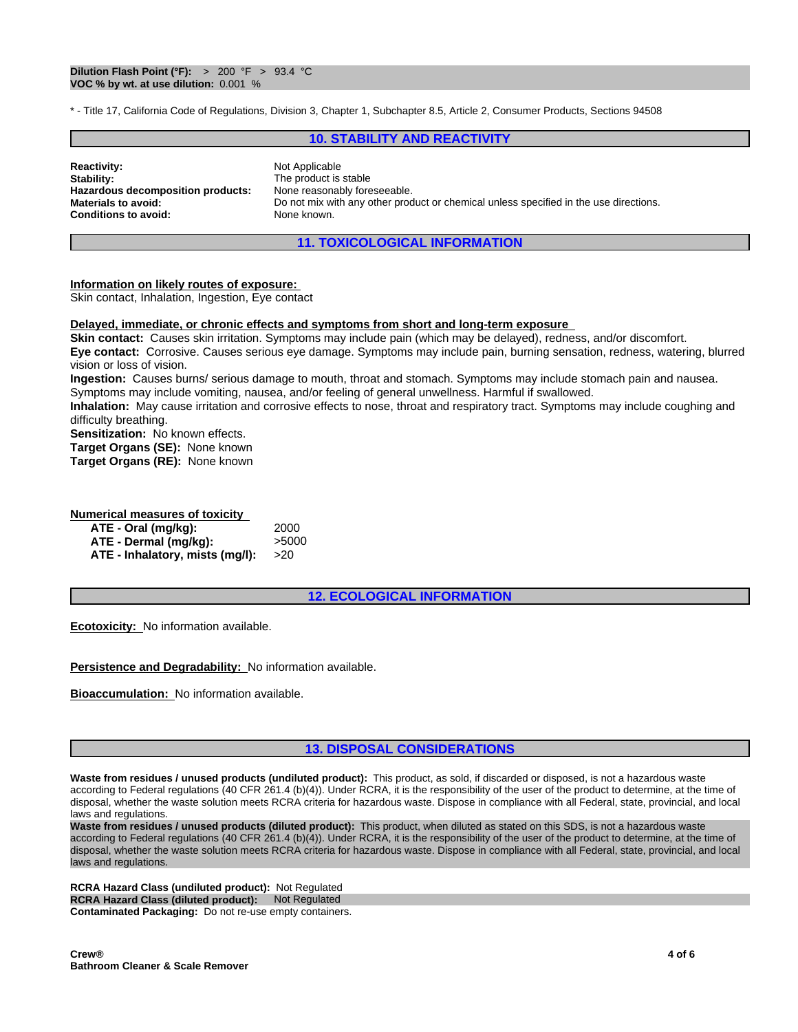\* - Title 17, California Code of Regulations, Division 3, Chapter 1, Subchapter 8.5, Article 2, Consumer Products, Sections 94508

# **10. STABILITY AND REACTIVITY**

| <b>Reactivity:</b>                | Not Applicable                                                                        |
|-----------------------------------|---------------------------------------------------------------------------------------|
| Stability:                        | The product is stable                                                                 |
| Hazardous decomposition products: | None reasonably foreseeable.                                                          |
| Materials to avoid:               | Do not mix with any other product or chemical unless specified in the use directions. |
| Conditions to avoid:              | None known.                                                                           |

# **11. TOXICOLOGICAL INFORMATION**

### **Information on likely routes of exposure:**

Skin contact, Inhalation, Ingestion, Eye contact

### **Delayed, immediate, or chronic effects and symptoms from short and long-term exposure**

**Skin contact:** Causes skin irritation. Symptoms may include pain (which may be delayed), redness, and/or discomfort. **Eye contact:** Corrosive. Causes serious eye damage. Symptoms may include pain, burning sensation, redness, watering, blurred vision or loss of vision.

**Ingestion:** Causes burns/ serious damage to mouth, throat and stomach. Symptoms may include stomach pain and nausea. Symptoms may include vomiting, nausea, and/or feeling of general unwellness. Harmful if swallowed.

**Inhalation:** May cause irritation and corrosive effects to nose, throat and respiratory tract. Symptoms may include coughing and difficulty breathing.

**Sensitization:** No known effects.

**Target Organs (SE):** None known

**Target Organs (RE):** None known

## **Numerical measures of toxicity**

| ATE - Oral (mg/kg):             | 2000  |
|---------------------------------|-------|
| ATE - Dermal (mg/kg):           | >5000 |
| ATE - Inhalatory, mists (mg/l): | >20   |

**12. ECOLOGICAL INFORMATION**

**Ecotoxicity:** No information available.

**Persistence and Degradability:** No information available.

**Bioaccumulation:** No information available.

# **13. DISPOSAL CONSIDERATIONS**

**Waste from residues / unused products (undiluted product):** This product, as sold, if discarded or disposed, is not a hazardous waste according to Federal regulations (40 CFR 261.4 (b)(4)). Under RCRA, it is the responsibility of the user of the product to determine, at the time of disposal, whether the waste solution meets RCRA criteria for hazardous waste. Dispose in compliance with all Federal, state, provincial, and local laws and regulations.

**Waste from residues / unused products (diluted product):** This product, when diluted as stated on this SDS, is not a hazardous waste according to Federal regulations (40 CFR 261.4 (b)(4)). Under RCRA, it is the responsibility of the user of the product to determine, at the time of disposal, whether the waste solution meets RCRA criteria for hazardous waste. Dispose in compliance with all Federal, state, provincial, and local laws and regulations.

**RCRA Hazard Class (undiluted product):** Not Regulated **RCRA Hazard Class (diluted product):** Not Regulated **Contaminated Packaging:** Do not re-use empty containers.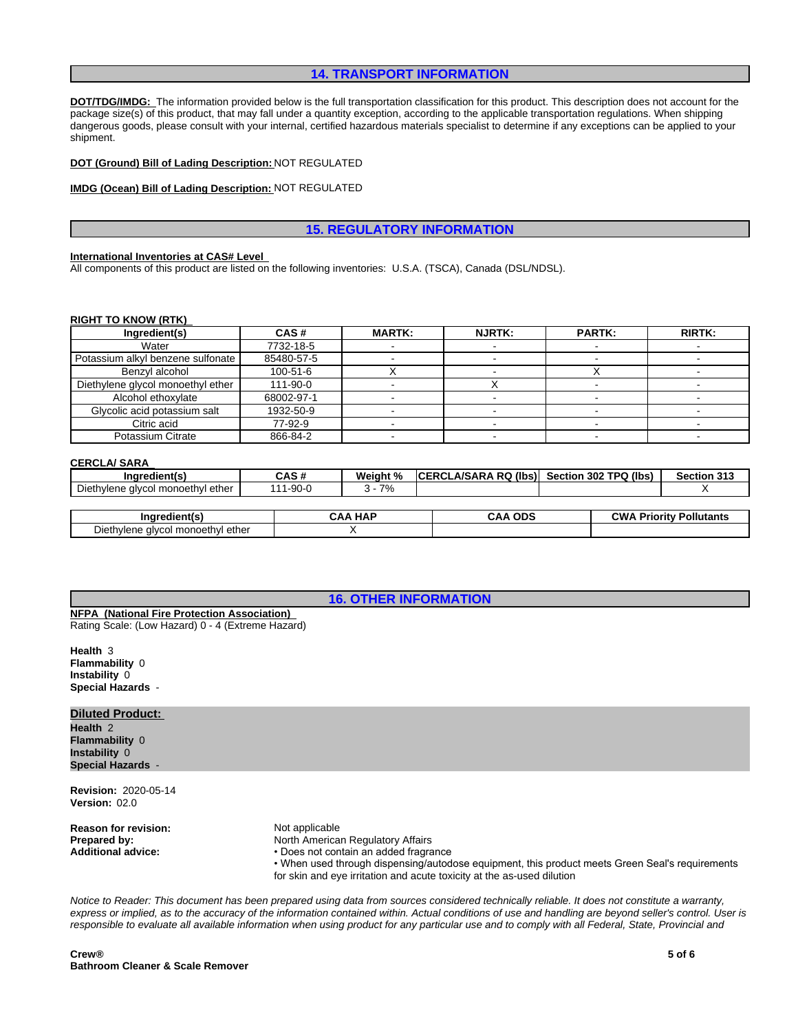## **14. TRANSPORT INFORMATION**

**DOT/TDG/IMDG:** The information provided below is the full transportation classification for this product. This description does not account for the package size(s) of this product, that may fall under a quantity exception, according to the applicable transportation regulations. When shipping dangerous goods, please consult with your internal, certified hazardous materials specialist to determine if any exceptions can be applied to your shipment.

**DOT (Ground) Bill of Lading Description:** NOT REGULATED

#### **IMDG (Ocean) Bill of Lading Description:** NOT REGULATED

# **15. REGULATORY INFORMATION**

#### **International Inventories at CAS# Level**

All components of this product are listed on the following inventories: U.S.A. (TSCA), Canada (DSL/NDSL).

#### **RIGHT TO KNOW (RTK)**

| Ingredient(s)                     | CAS#       | <b>MARTK:</b> | <b>NJRTK:</b> | <b>PARTK:</b> | <b>RIRTK:</b> |
|-----------------------------------|------------|---------------|---------------|---------------|---------------|
| Water                             | 7732-18-5  |               |               |               |               |
| Potassium alkyl benzene sulfonate | 85480-57-5 |               |               |               |               |
| Benzvl alcohol                    | 100-51-6   |               |               |               |               |
| Diethylene glycol monoethyl ether | 111-90-0   |               |               |               |               |
| Alcohol ethoxylate                | 68002-97-1 |               |               |               |               |
| Glycolic acid potassium salt      | 1932-50-9  |               |               |               |               |
| Citric acid                       | 77-92-9    |               |               |               |               |
| Potassium Citrate                 | 866-84-2   |               |               |               |               |

#### **CERCLA/ SARA**

| $-1$<br>Ingredient(s)                                                 | <b>CAS#</b><br>UHJ 1. | Weight %   | LA/SARA RQ (Ibs)<br>- DO'<br>. | Section 302 TPQ (lbs) | Section 313 |
|-----------------------------------------------------------------------|-----------------------|------------|--------------------------------|-----------------------|-------------|
| $\overline{\phantom{a}}$<br>. ether<br>alvcol monoethvl<br>Diethylene | 0.001c<br>·90-0       | 70/<br>. . |                                |                       |             |
|                                                                       |                       |            |                                |                       |             |

| Ingredient(s)                                                                  | <b>HAF</b><br>ODS<br>AΛ<br>JAF<br>אי |  | CW/<br>--<br>Pollutants<br>Prioritv⊹ |  |
|--------------------------------------------------------------------------------|--------------------------------------|--|--------------------------------------|--|
| ethe<br>. Il monoath'<br>$\sim$ alveous<br>Dıetr<br>uiviene.<br>weuw<br>,,,,,, |                                      |  |                                      |  |

**16. OTHER INFORMATION**

**NFPA (National Fire Protection Association)**  Rating Scale: (Low Hazard) 0 - 4 (Extreme Hazard)

**Health** 3 **Flammability** 0 **Instability** 0 **Special Hazards** -

# **Diluted Product:**

**Health** 2 **Flammability** 0 **Instability** 0 **Special Hazards** -

**Revision:** 2020-05-14 **Version:** 02.0

**Reason for revision:** Not applicable<br> **Prepared by:** North American

**North American Regulatory Affairs** 

Additional advice: • • Does not contain an added fragrance

• When used through dispensing/autodose equipment, this product meets Green Seal's requirements for skin and eye irritation and acute toxicity at the as-used dilution

*Notice to Reader: This document has been prepared using data from sources considered technically reliable. It does not constitute a warranty, express or implied, as to the accuracy of the information contained within. Actual conditions of use and handling are beyond seller's control. User is responsible to evaluate all available information when using product for any particular use and to comply with all Federal, State, Provincial and*